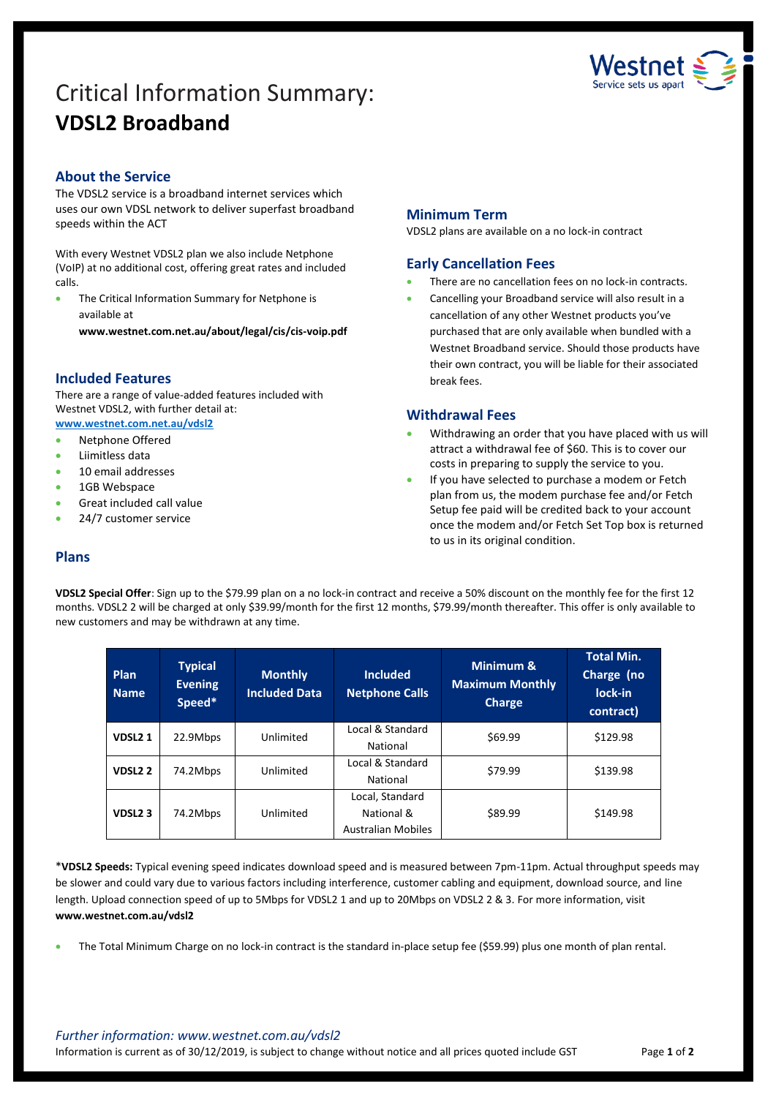# Critical Information Summary: **VDSL2 Broadband**



# **About the Service**

The VDSL2 service is a broadband internet services which uses our own VDSL network to deliver superfast broadband speeds within the ACT

With every Westnet VDSL2 plan we also include Netphone (VoIP) at no additional cost, offering great rates and included calls.

 The Critical Information Summary for Netphone is available at

**www.westnet.com.net.au/about/legal/cis/cis-voip.pdf**

# **Included Features**

There are a range of value-added features included with Westnet VDSL2, with further detail at: **[www.westnet.com.net.au/vdsl2](http://www.westnet.com.net.au/vdsl2)**

• Netphone Offered

- Liimitless data
- 10 email addresses
- 1GB Webspace
- Great included call value
- 24/7 customer service

# **Minimum Term**

VDSL2 plans are available on a no lock-in contract

# **Early Cancellation Fees**

- There are no cancellation fees on no lock-in contracts.
- Cancelling your Broadband service will also result in a cancellation of any other Westnet products you've purchased that are only available when bundled with a Westnet Broadband service. Should those products have their own contract, you will be liable for their associated break fees.

### **Withdrawal Fees**

- Withdrawing an order that you have placed with us will attract a withdrawal fee of \$60. This is to cover our costs in preparing to supply the service to you.
- If you have selected to purchase a modem or Fetch plan from us, the modem purchase fee and/or Fetch Setup fee paid will be credited back to your account once the modem and/or Fetch Set Top box is returned to us in its original condition.

## **Plans**

**VDSL2 Special Offer**: Sign up to the \$79.99 plan on a no lock-in contract and receive a 50% discount on the monthly fee for the first 12 months. VDSL2 2 will be charged at only \$39.99/month for the first 12 months, \$79.99/month thereafter. This offer is only available to new customers and may be withdrawn at any time.

| Plan<br><b>Name</b> | <b>Typical</b><br><b>Evening</b><br>Speed* | <b>Monthly</b><br><b>Included Data</b> | <b>Included</b><br><b>Netphone Calls</b>                   | Minimum &<br><b>Maximum Monthly</b><br><b>Charge</b> | Total Min.<br>Charge (no<br>lock-in<br>contract) |
|---------------------|--------------------------------------------|----------------------------------------|------------------------------------------------------------|------------------------------------------------------|--------------------------------------------------|
| VDSL <sub>21</sub>  | 22.9Mbps                                   | Unlimited                              | Local & Standard<br>National                               | \$69.99                                              | \$129.98                                         |
| VDSL <sub>2</sub> 2 | 74.2Mbps                                   | Unlimited                              | Local & Standard<br>National                               | \$79.99                                              | \$139.98                                         |
| VDSL <sub>2</sub> 3 | 74.2Mbps                                   | Unlimited                              | Local, Standard<br>National &<br><b>Australian Mobiles</b> | \$89.99                                              | \$149.98                                         |

\***VDSL2 Speeds:** Typical evening speed indicates download speed and is measured between 7pm-11pm. Actual throughput speeds may be slower and could vary due to various factors including interference, customer cabling and equipment, download source, and line length. Upload connection speed of up to 5Mbps for VDSL2 1 and up to 20Mbps on VDSL2 2 & 3. For more information, visit **www.westnet.com.au/vdsl2**

The Total Minimum Charge on no lock-in contract is the standard in-place setup fee (\$59.99) plus one month of plan rental.